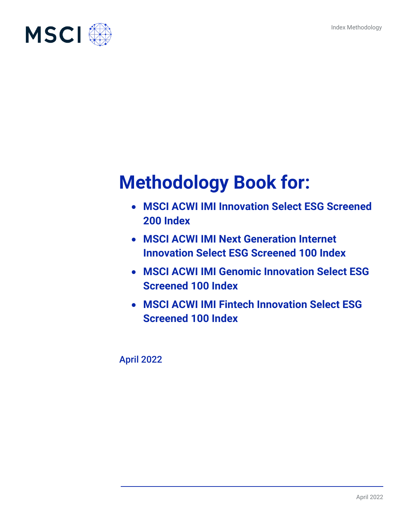

# **Methodology Book for:**

- **MSCI ACWI IMI Innovation Select ESG Screened 200 Index**
- **MSCI ACWI IMI Next Generation Internet Innovation Select ESG Screened 100 Index**
- **MSCI ACWI IMI Genomic Innovation Select ESG Screened 100 Index**
- **MSCI ACWI IMI Fintech Innovation Select ESG Screened 100 Index**

April 2022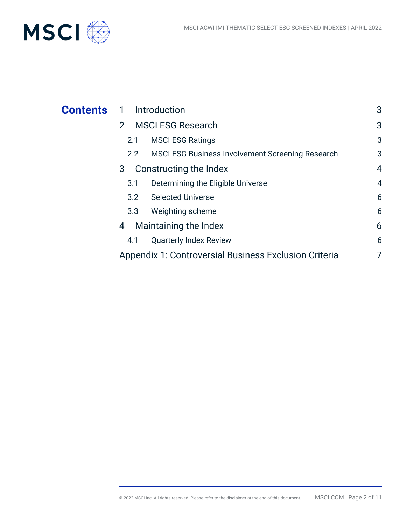

| <b>Contents</b> | 1 Introduction                                                           | 3              |
|-----------------|--------------------------------------------------------------------------|----------------|
|                 | <b>MSCI ESG Research</b><br>2 <sup>1</sup>                               | 3              |
|                 | <b>MSCI ESG Ratings</b><br>2.1                                           | 3              |
|                 | <b>MSCI ESG Business Involvement Screening Research</b><br>$2.2^{\circ}$ | 3              |
|                 | Constructing the Index<br>3                                              | $\overline{4}$ |
|                 | Determining the Eligible Universe<br>3.1                                 | $\overline{4}$ |
|                 | <b>Selected Universe</b><br>3.2                                          | 6              |
|                 | Weighting scheme<br>3.3                                                  | 6              |
|                 | Maintaining the Index<br>4                                               | 6              |
|                 | <b>Quarterly Index Review</b><br>4.1                                     | 6              |
|                 | Appendix 1: Controversial Business Exclusion Criteria                    | 7              |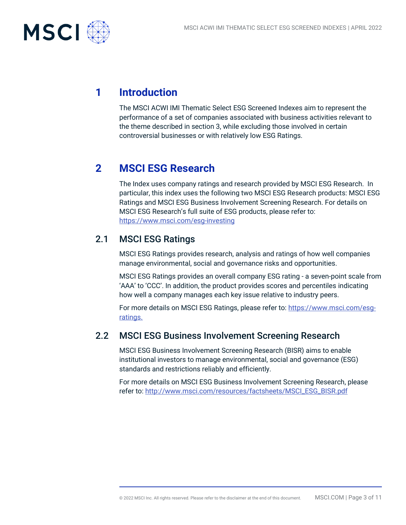

# **1 Introduction**

The MSCI ACWI IMI Thematic Select ESG Screened Indexes aim to represent the performance of a set of companies associated with business activities relevant to the theme described in section 3, while excluding those involved in certain controversial businesses or with relatively low ESG Ratings.

# **2 MSCI ESG Research**

The Index uses company ratings and research provided by MSCI ESG Research. In particular, this index uses the following two MSCI ESG Research products: MSCI ESG Ratings and MSCI ESG Business Involvement Screening Research. For details on MSCI ESG Research's full suite of ESG products, please refer to: <https://www.msci.com/esg-investing>

## 2.1 MSCI ESG Ratings

MSCI ESG Ratings provides research, analysis and ratings of how well companies manage environmental, social and governance risks and opportunities.

MSCI ESG Ratings provides an overall company ESG rating - a seven-point scale from 'AAA' to 'CCC'. In addition, the product provides scores and percentiles indicating how well a company manages each key issue relative to industry peers.

For more details on MSCI ESG Ratings, please refer to: https://www.msci.com/esgratings.

## 2.2 MSCI ESG Business Involvement Screening Research

MSCI ESG Business Involvement Screening Research (BISR) aims to enable institutional investors to manage environmental, social and governance (ESG) standards and restrictions reliably and efficiently.

For more details on MSCI ESG Business Involvement Screening Research, please refer to: [http://www.msci.com/resources/factsheets/MSCI\\_ESG\\_BISR.pdf](http://www.msci.com/resources/factsheets/MSCI_ESG_BISR.pdf)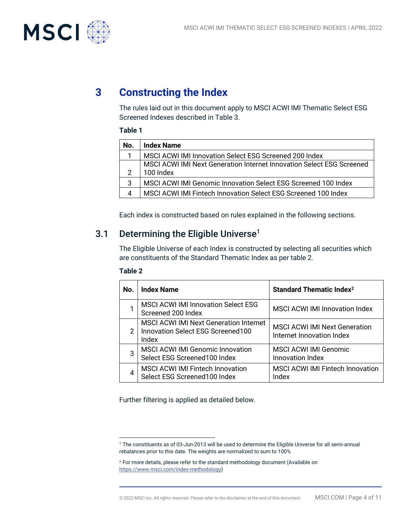

# **3 Constructing the Index**

The rules laid out in this document apply to MSCI ACWI IMI Thematic Select ESG Screened Indexes described in Table 3.

#### **Table 1**

| No.            | <b>Index Name</b>                                                     |
|----------------|-----------------------------------------------------------------------|
|                | MSCI ACWI IMI Innovation Select ESG Screened 200 Index                |
|                | MSCI ACWI IMI Next Generation Internet Innovation Select ESG Screened |
|                | 100 Index                                                             |
| 3              | MSCI ACWI IMI Genomic Innovation Select ESG Screened 100 Index        |
| $\overline{4}$ | MSCI ACWI IMI Fintech Innovation Select ESG Screened 100 Index        |

Each index is constructed based on rules explained in the following sections.

## 3.1 Determining the Eligible Universe<sup>1</sup>

The Eligible Universe of each Index is constructed by selecting all securities which are constituents of the Standard Thematic Index as per table 2.

#### **Table 2**

| No. | <b>Index Name</b>                                                                           | <b>Standard Thematic Index<sup>2</sup></b>                        |
|-----|---------------------------------------------------------------------------------------------|-------------------------------------------------------------------|
|     | <b>MSCI ACWI IMI Innovation Select ESG</b><br>Screened 200 Index                            | <b>MSCI ACWI IMI Innovation Index</b>                             |
| 2   | <b>MSCI ACWI IMI Next Generation Internet</b><br>Innovation Select ESG Screened100<br>Index | <b>MSCI ACWI IMI Next Generation</b><br>Internet Innovation Index |
| З   | <b>MSCI ACWI IMI Genomic Innovation</b><br>Select ESG Screened100 Index                     | <b>MSCI ACWI IMI Genomic</b><br>Innovation Index                  |
|     | MSCI ACWI IMI Fintech Innovation<br>Select ESG Screened100 Index                            | <b>MSCI ACWI IMI Fintech Innovation</b><br>Index                  |

Further filtering is applied as detailed below.

<sup>1</sup> The constituents as of 03-Jun-2013 will be used to determine the Eligible Universe for all semi-annual rebalances prior to this date. The weights are normalized to sum to 100%

<sup>&</sup>lt;sup>2</sup> For more details, please refer to the standard methodology document (Available on [https://www.msci.com/index-methodology\)](https://www.msci.com/index-methodology)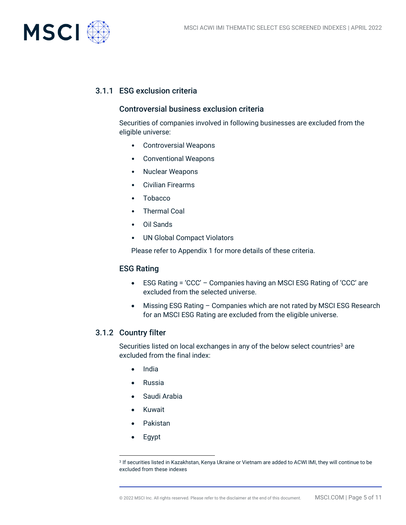

#### 3.1.1 ESG exclusion criteria

#### Controversial business exclusion criteria

Securities of companies involved in following businesses are excluded from the eligible universe:

- Controversial Weapons
- Conventional Weapons
- Nuclear Weapons
- Civilian Firearms
- Tobacco
- Thermal Coal
- Oil Sands
- UN Global Compact Violators

Please refer to Appendix 1 for more details of these criteria.

#### ESG Rating

- ESG Rating = 'CCC' Companies having an MSCI ESG Rating of 'CCC' are excluded from the selected universe.
- Missing ESG Rating Companies which are not rated by MSCI ESG Research for an MSCI ESG Rating are excluded from the eligible universe.

#### 3.1.2 Country filter

Securities listed on local exchanges in any of the below select countries<sup>3</sup> are excluded from the final index:

- India
- Russia
- Saudi Arabia
- Kuwait
- Pakistan
- Egypt

<sup>3</sup> If securities listed in Kazakhstan, Kenya Ukraine or Vietnam are added to ACWI IMI, they will continue to be excluded from these indexes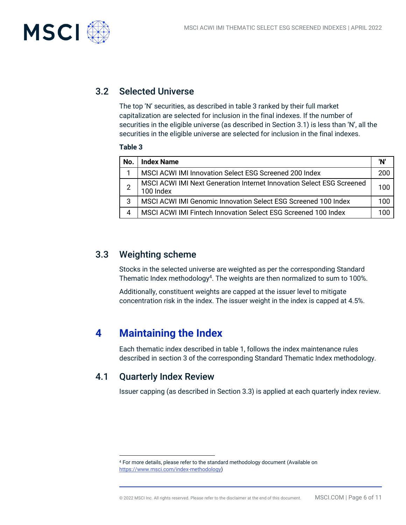

## 3.2 Selected Universe

The top 'N' securities, as described in table 3 ranked by their full market capitalization are selected for inclusion in the final indexes. If the number of securities in the eligible universe (as described in Section 3.1) is less than 'N', all the securities in the eligible universe are selected for inclusion in the final indexes.

#### **Table 3**

| No. | <b>Index Name</b>                                                                  | 'N' |
|-----|------------------------------------------------------------------------------------|-----|
|     | MSCI ACWI IMI Innovation Select ESG Screened 200 Index                             | 200 |
|     | MSCI ACWI IMI Next Generation Internet Innovation Select ESG Screened<br>100 Index | 100 |
| 3   | MSCI ACWI IMI Genomic Innovation Select ESG Screened 100 Index                     | 100 |
|     | MSCI ACWI IMI Fintech Innovation Select ESG Screened 100 Index                     | 100 |

## 3.3 Weighting scheme

Stocks in the selected universe are weighted as per the corresponding Standard Thematic Index methodology<sup>4</sup>. The weights are then normalized to sum to 100%.

Additionally, constituent weights are capped at the issuer level to mitigate concentration risk in the index. The issuer weight in the index is capped at 4.5%.

# **4 Maintaining the Index**

Each thematic index described in table 1, follows the index maintenance rules described in section 3 of the corresponding Standard Thematic Index methodology.

## 4.1 Quarterly Index Review

Issuer capping (as described in Section 3.3) is applied at each quarterly index review.

<sup>4</sup> For more details, please refer to the standard methodology document (Available on [https://www.msci.com/index-methodology\)](https://www.msci.com/index-methodology)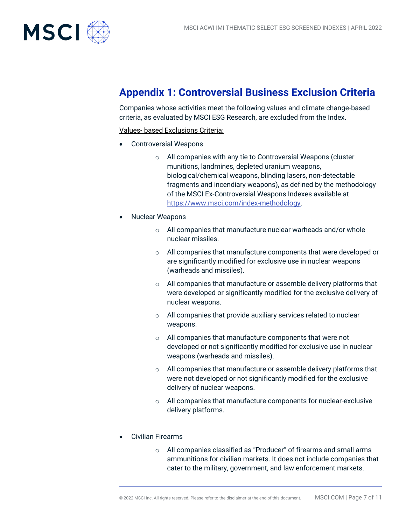

# **Appendix 1: Controversial Business Exclusion Criteria**

Companies whose activities meet the following values and climate change-based criteria, as evaluated by MSCI ESG Research, are excluded from the Index.

Values- based Exclusions Criteria:

- Controversial Weapons
	- o All companies with any tie to Controversial Weapons (cluster munitions, landmines, depleted uranium weapons, biological/chemical weapons, blinding lasers, non-detectable fragments and incendiary weapons), as defined by the methodology of the MSCI Ex-Controversial Weapons Indexes available at [https://www.msci.com/index-methodology.](https://www.msci.com/index-methodology)
- Nuclear Weapons
	- o All companies that manufacture nuclear warheads and/or whole nuclear missiles.
	- o All companies that manufacture components that were developed or are significantly modified for exclusive use in nuclear weapons (warheads and missiles).
	- o All companies that manufacture or assemble delivery platforms that were developed or significantly modified for the exclusive delivery of nuclear weapons.
	- o All companies that provide auxiliary services related to nuclear weapons.
	- o All companies that manufacture components that were not developed or not significantly modified for exclusive use in nuclear weapons (warheads and missiles).
	- $\circ$  All companies that manufacture or assemble delivery platforms that were not developed or not significantly modified for the exclusive delivery of nuclear weapons.
	- o All companies that manufacture components for nuclear-exclusive delivery platforms.
- Civilian Firearms
	- o All companies classified as "Producer" of firearms and small arms ammunitions for civilian markets. It does not include companies that cater to the military, government, and law enforcement markets.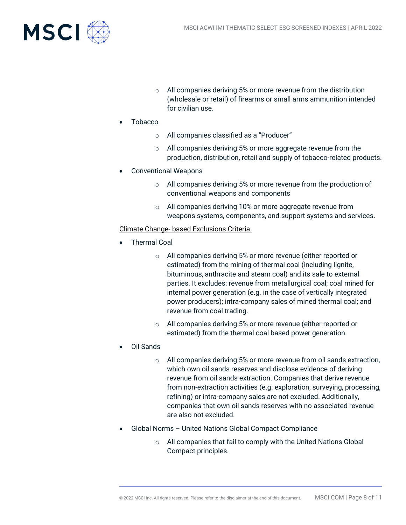

- o All companies deriving 5% or more revenue from the distribution (wholesale or retail) of firearms or small arms ammunition intended for civilian use.
- Tobacco
	- o All companies classified as a "Producer"
	- o All companies deriving 5% or more aggregate revenue from the production, distribution, retail and supply of tobacco-related products.
- Conventional Weapons
	- o All companies deriving 5% or more revenue from the production of conventional weapons and components
	- o All companies deriving 10% or more aggregate revenue from weapons systems, components, and support systems and services.

#### Climate Change- based Exclusions Criteria:

- Thermal Coal
	- o All companies deriving 5% or more revenue (either reported or estimated) from the mining of thermal coal (including lignite, bituminous, anthracite and steam coal) and its sale to external parties. It excludes: revenue from metallurgical coal; coal mined for internal power generation (e.g. in the case of vertically integrated power producers); intra-company sales of mined thermal coal; and revenue from coal trading.
	- o All companies deriving 5% or more revenue (either reported or estimated) from the thermal coal based power generation.
- Oil Sands
	- o All companies deriving 5% or more revenue from oil sands extraction, which own oil sands reserves and disclose evidence of deriving revenue from oil sands extraction. Companies that derive revenue from non-extraction activities (e.g. exploration, surveying, processing, refining) or intra-company sales are not excluded. Additionally, companies that own oil sands reserves with no associated revenue are also not excluded.
- Global Norms United Nations Global Compact Compliance
	- o All companies that fail to comply with the United Nations Global Compact principles.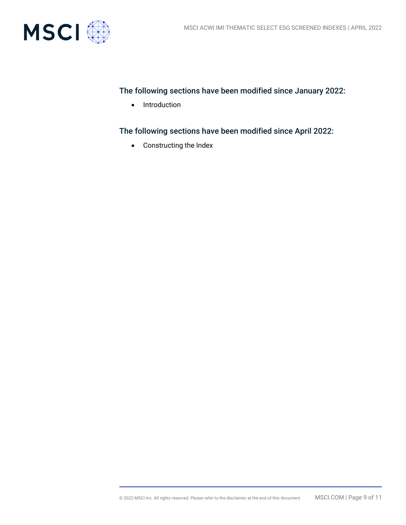

#### The following sections have been modified since January 2022:

• Introduction

The following sections have been modified since April 2022:

• Constructing the Index

© 2022 MSCI Inc. All rights reserved. Please refer to the disclaimer at the end of this document. MSCI.COM | Page 9 of 11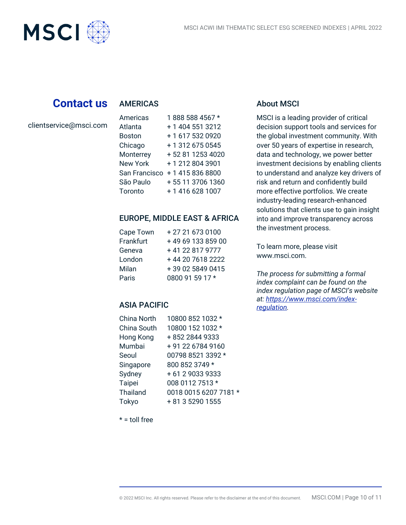# **Contact us**

#### AMERICAS

clientservice@msci.com

**MSCI** 

| Americas        | 1888 588 4567 *  |
|-----------------|------------------|
| Atlanta         | + 1 404 551 3212 |
| <b>Boston</b>   | + 1 617 532 0920 |
| Chicago         | +13126750545     |
| Monterrey       | +52 81 1253 4020 |
| <b>New York</b> | +12128043901     |
| San Francisco   | +14158368800     |
| São Paulo       | +55 11 3706 1360 |
| Toronto         | +14166281007     |

#### EUROPE, MIDDLE EAST & AFRICA

| Cape Town | +27 21 673 0100   |
|-----------|-------------------|
| Frankfurt | +49 69 133 859 00 |
| Geneva    | +41 22 817 9777   |
| London    | +44 20 7618 2222  |
| Milan     | +39 02 5849 0415  |
| Paris     | 0800 91 59 17 *   |

#### ASIA PACIFIC

| China North     | 10800 852 1032 *      |
|-----------------|-----------------------|
| China South     | 10800 152 1032 *      |
| Hong Kong       | +852 2844 9333        |
| Mumbai          | +91 22 6784 9160      |
| Seoul           | 00798 8521 3392 *     |
| Singapore       | 800 852 3749 *        |
| Sydney          | +61290339333          |
| Taipei          | 008 0112 7513 *       |
| <b>Thailand</b> | 0018 0015 6207 7181 * |
| Tokyo           | + 81 3 5290 1555      |
|                 |                       |

### About MSCI

MSCI is a leading provider of critical decision support tools and services for the global investment community. With over 50 years of expertise in research, data and technology, we power better investment decisions by enabling clients to understand and analyze key drivers of risk and return and confidently build more effective portfolios. We create industry-leading research-enhanced solutions that clients use to gain insight into and improve transparency across the investment process.

To learn more, please visit www.msci.com.

*The process for submitting a formal index complaint can be found on the index regulation page of MSCI's website at: [https://www.msci.com/index](https://www.msci.com/index-regulation)[regulation.](https://www.msci.com/index-regulation)*

 $* =$  toll free